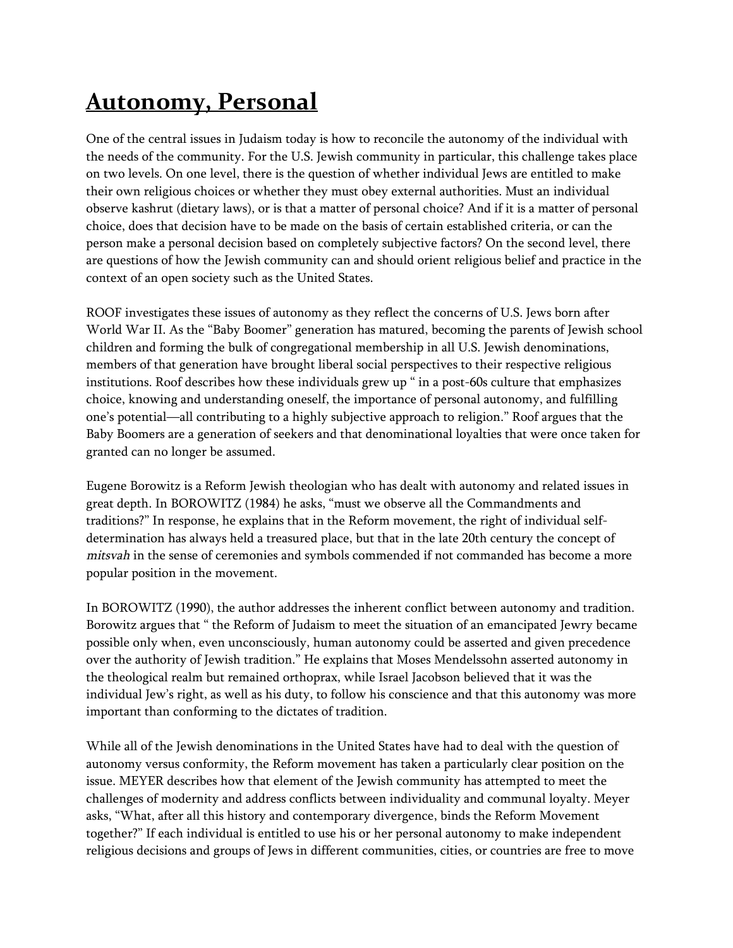## **Autonomy, Personal**

One of the central issues in Judaism today is how to reconcile the autonomy of the individual with the needs of the community. For the U.S. Jewish community in particular, this challenge takes place on two levels. On one level, there is the question of whether individual Jews are entitled to make their own religious choices or whether they must obey external authorities. Must an individual observe kashrut (dietary laws), or is that a matter of personal choice? And if it is a matter of personal choice, does that decision have to be made on the basis of certain established criteria, or can the person make a personal decision based on completely subjective factors? On the second level, there are questions of how the Jewish community can and should orient religious belief and practice in the context of an open society such as the United States.

ROOF investigates these issues of autonomy as they reflect the concerns of U.S. Jews born after World War II. As the "Baby Boomer" generation has matured, becoming the parents of Jewish school children and forming the bulk of congregational membership in all U.S. Jewish denominations, members of that generation have brought liberal social perspectives to their respective religious institutions. Roof describes how these individuals grew up " in a post-60s culture that emphasizes choice, knowing and understanding oneself, the importance of personal autonomy, and fulfilling one's potential—all contributing to a highly subjective approach to religion." Roof argues that the Baby Boomers are a generation of seekers and that denominational loyalties that were once taken for granted can no longer be assumed.

Eugene Borowitz is a Reform Jewish theologian who has dealt with autonomy and related issues in great depth. In BOROWITZ (1984) he asks, "must we observe all the Commandments and traditions?" In response, he explains that in the Reform movement, the right of individual selfdetermination has always held a treasured place, but that in the late 20th century the concept of *mitsvah* in the sense of ceremonies and symbols commended if not commanded has become a more popular position in the movement.

In BOROWITZ (1990), the author addresses the inherent conflict between autonomy and tradition. Borowitz argues that " the Reform of Judaism to meet the situation of an emancipated Jewry became possible only when, even unconsciously, human autonomy could be asserted and given precedence over the authority of Jewish tradition." He explains that Moses Mendelssohn asserted autonomy in the theological realm but remained orthoprax, while Israel Jacobson believed that it was the individual Jew's right, as well as his duty, to follow his conscience and that this autonomy was more important than conforming to the dictates of tradition.

While all of the Jewish denominations in the United States have had to deal with the question of autonomy versus conformity, the Reform movement has taken a particularly clear position on the issue. MEYER describes how that element of the Jewish community has attempted to meet the challenges of modernity and address conflicts between individuality and communal loyalty. Meyer asks, "What, after all this history and contemporary divergence, binds the Reform Movement together?" If each individual is entitled to use his or her personal autonomy to make independent religious decisions and groups of Jews in different communities, cities, or countries are free to move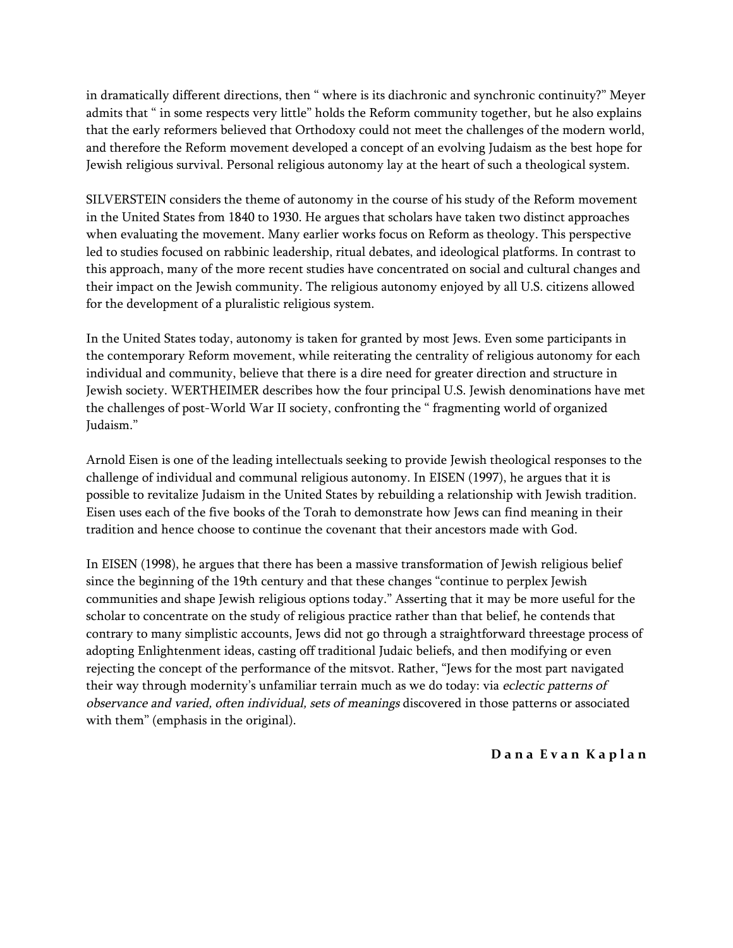in dramatically different directions, then " where is its diachronic and synchronic continuity?" Meyer admits that " in some respects very little" holds the Reform community together, but he also explains that the early reformers believed that Orthodoxy could not meet the challenges of the modern world, and therefore the Reform movement developed a concept of an evolving Judaism as the best hope for Jewish religious survival. Personal religious autonomy lay at the heart of such a theological system.

SILVERSTEIN considers the theme of autonomy in the course of his study of the Reform movement in the United States from 1840 to 1930. He argues that scholars have taken two distinct approaches when evaluating the movement. Many earlier works focus on Reform as theology. This perspective led to studies focused on rabbinic leadership, ritual debates, and ideological platforms. In contrast to this approach, many of the more recent studies have concentrated on social and cultural changes and their impact on the Jewish community. The religious autonomy enjoyed by all U.S. citizens allowed for the development of a pluralistic religious system.

In the United States today, autonomy is taken for granted by most Jews. Even some participants in the contemporary Reform movement, while reiterating the centrality of religious autonomy for each individual and community, believe that there is a dire need for greater direction and structure in Jewish society. WERTHEIMER describes how the four principal U.S. Jewish denominations have met the challenges of post-World War II society, confronting the " fragmenting world of organized Judaism."

Arnold Eisen is one of the leading intellectuals seeking to provide Jewish theological responses to the challenge of individual and communal religious autonomy. In EISEN (1997), he argues that it is possible to revitalize Judaism in the United States by rebuilding a relationship with Jewish tradition. Eisen uses each of the five books of the Torah to demonstrate how Jews can find meaning in their tradition and hence choose to continue the covenant that their ancestors made with God.

In EISEN (1998), he argues that there has been a massive transformation of Jewish religious belief since the beginning of the 19th century and that these changes "continue to perplex Jewish communities and shape Jewish religious options today." Asserting that it may be more useful for the scholar to concentrate on the study of religious practice rather than that belief, he contends that contrary to many simplistic accounts, Jews did not go through a straightforward threestage process of adopting Enlightenment ideas, casting off traditional Judaic beliefs, and then modifying or even rejecting the concept of the performance of the mitsvot. Rather, "Jews for the most part navigated their way through modernity's unfamiliar terrain much as we do today: via *eclectic patterns of observance and varied, often individual, sets of meanings* discovered in those patterns or associated with them" (emphasis in the original).

## **D a n a E v a n K a p l a n**